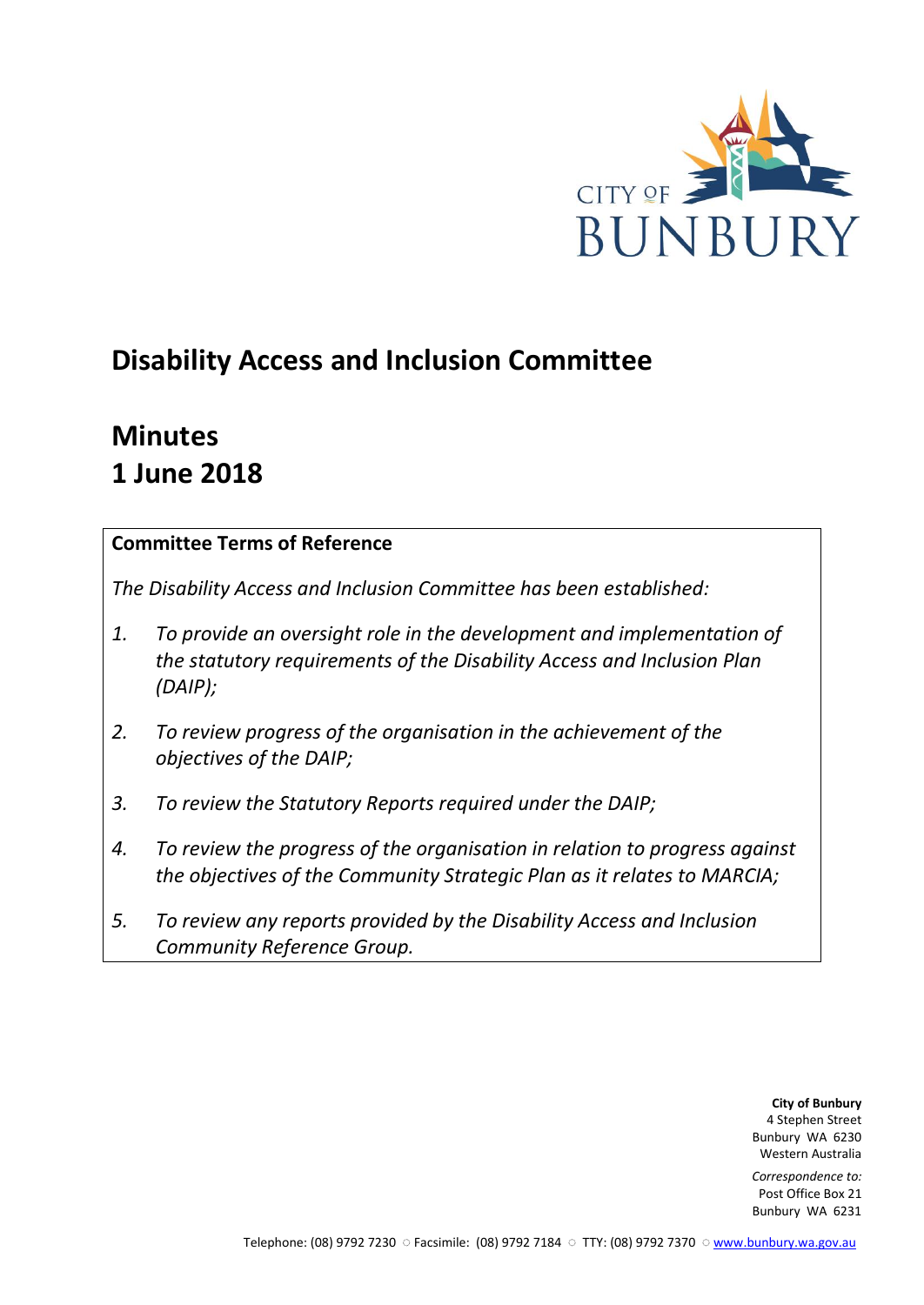

# **Disability Access and Inclusion Committee**

# **Minutes 1 June 2018**

# **Committee Terms of Reference**

*The Disability Access and Inclusion Committee has been established:* 

- *1. To provide an oversight role in the development and implementation of the statutory requirements of the Disability Access and Inclusion Plan (DAIP);*
- *2. To review progress of the organisation in the achievement of the objectives of the DAIP;*
- *3. To review the Statutory Reports required under the DAIP;*
- *4. To review the progress of the organisation in relation to progress against the objectives of the Community Strategic Plan as it relates to MARCIA;*
- *5. To review any reports provided by the Disability Access and Inclusion Community Reference Group.*

**City of Bunbury** 4 Stephen Street Bunbury WA 6230 Western Australia

*Correspondence to:* Post Office Box 21 Bunbury WA 6231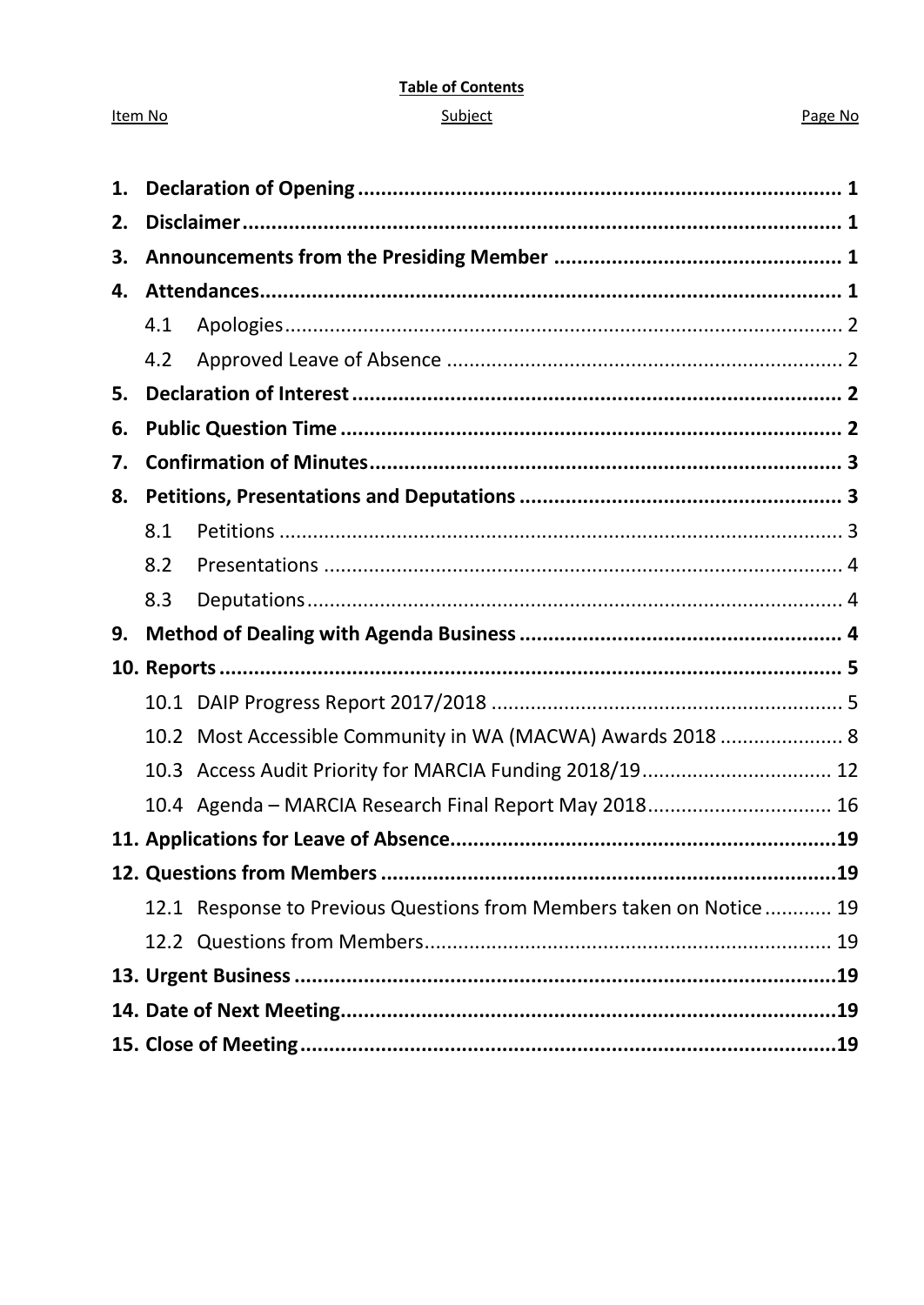#### **Table of Contents**

#### Subject

#### Page No

| 1. |      |                                                                     |  |
|----|------|---------------------------------------------------------------------|--|
| 2. |      |                                                                     |  |
| 3. |      |                                                                     |  |
| 4. |      |                                                                     |  |
|    | 4.1  |                                                                     |  |
|    | 4.2  |                                                                     |  |
| 5. |      |                                                                     |  |
| 6. |      |                                                                     |  |
| 7. |      |                                                                     |  |
| 8. |      |                                                                     |  |
|    | 8.1  |                                                                     |  |
|    | 8.2  |                                                                     |  |
|    | 8.3  |                                                                     |  |
|    |      |                                                                     |  |
| 9. |      |                                                                     |  |
|    |      |                                                                     |  |
|    |      |                                                                     |  |
|    | 10.2 | Most Accessible Community in WA (MACWA) Awards 2018  8              |  |
|    |      | 10.3 Access Audit Priority for MARCIA Funding 2018/19 12            |  |
|    |      | 10.4 Agenda - MARCIA Research Final Report May 2018 16              |  |
|    |      |                                                                     |  |
|    |      |                                                                     |  |
|    |      | 12.1 Response to Previous Questions from Members taken on Notice 19 |  |
|    |      |                                                                     |  |
|    |      |                                                                     |  |
|    |      |                                                                     |  |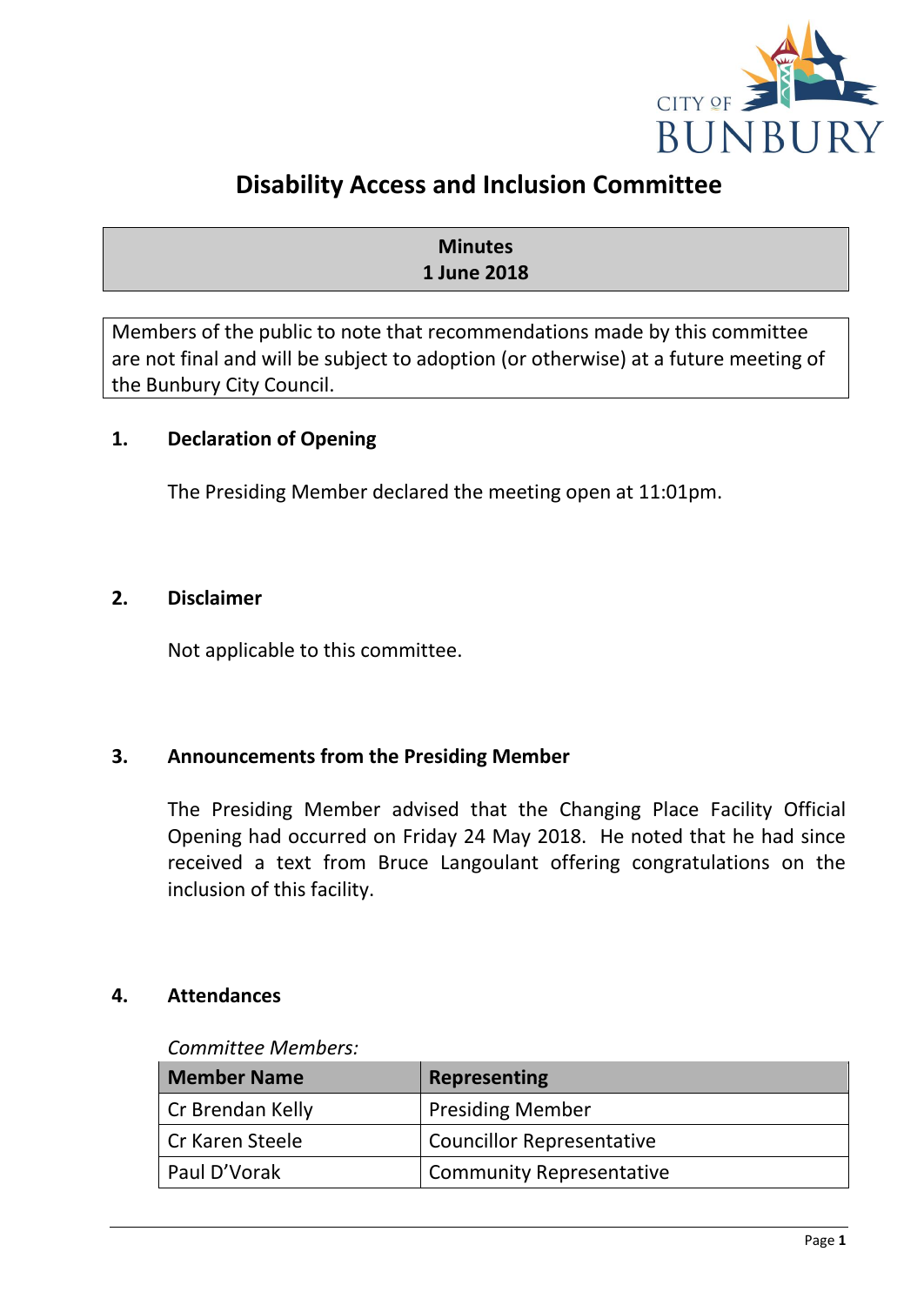

# **Disability Access and Inclusion Committee**

## **Minutes 1 June 2018**

Members of the public to note that recommendations made by this committee are not final and will be subject to adoption (or otherwise) at a future meeting of the Bunbury City Council.

## <span id="page-2-0"></span>**1. Declaration of Opening**

The Presiding Member declared the meeting open at 11:01pm.

#### <span id="page-2-1"></span>**2. Disclaimer**

Not applicable to this committee.

## <span id="page-2-2"></span>**3. Announcements from the Presiding Member**

The Presiding Member advised that the Changing Place Facility Official Opening had occurred on Friday 24 May 2018. He noted that he had since received a text from Bruce Langoulant offering congratulations on the inclusion of this facility.

#### <span id="page-2-3"></span>**4. Attendances**

#### *Committee Members:*

| <b>Member Name</b> | <b>Representing</b>              |
|--------------------|----------------------------------|
| Cr Brendan Kelly   | <b>Presiding Member</b>          |
| Cr Karen Steele    | <b>Councillor Representative</b> |
| Paul D'Vorak       | <b>Community Representative</b>  |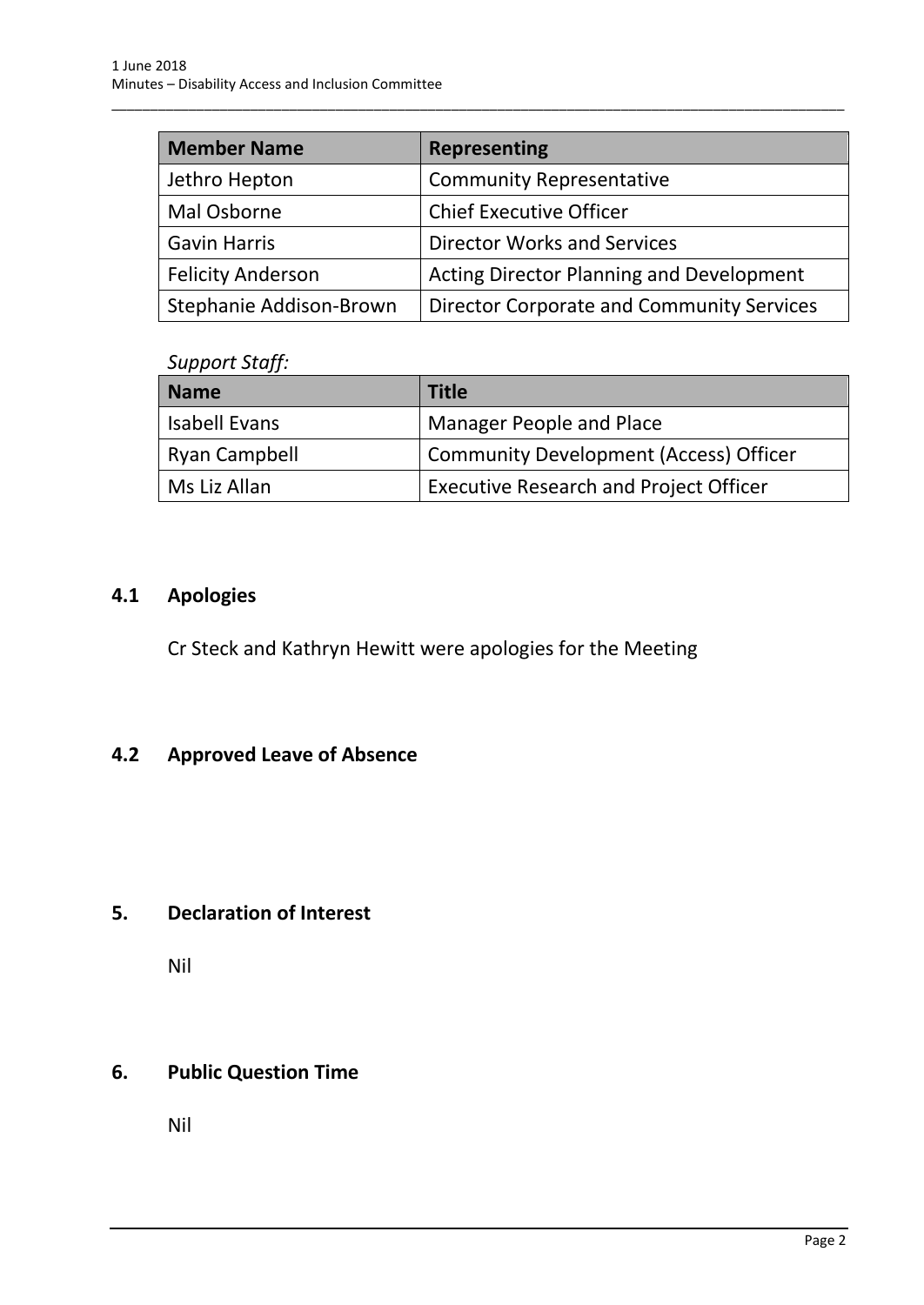| <b>Member Name</b>       | <b>Representing</b>                             |
|--------------------------|-------------------------------------------------|
| Jethro Hepton            | <b>Community Representative</b>                 |
| Mal Osborne              | <b>Chief Executive Officer</b>                  |
| <b>Gavin Harris</b>      | <b>Director Works and Services</b>              |
| <b>Felicity Anderson</b> | <b>Acting Director Planning and Development</b> |
| Stephanie Addison-Brown  | Director Corporate and Community Services       |

\_\_\_\_\_\_\_\_\_\_\_\_\_\_\_\_\_\_\_\_\_\_\_\_\_\_\_\_\_\_\_\_\_\_\_\_\_\_\_\_\_\_\_\_\_\_\_\_\_\_\_\_\_\_\_\_\_\_\_\_\_\_\_\_\_\_\_\_\_\_\_\_\_\_\_\_\_\_\_\_\_\_\_\_\_\_\_\_\_\_\_\_\_\_\_

#### *Support Staff:*

| <b>Name</b>   | <b>Title</b>                                  |
|---------------|-----------------------------------------------|
| Isabell Evans | Manager People and Place                      |
| Ryan Campbell | <b>Community Development (Access) Officer</b> |
| Ms Liz Allan  | <b>Executive Research and Project Officer</b> |

# <span id="page-3-0"></span>**4.1 Apologies**

Cr Steck and Kathryn Hewitt were apologies for the Meeting

# <span id="page-3-1"></span>**4.2 Approved Leave of Absence**

# <span id="page-3-2"></span>**5. Declaration of Interest**

Nil

# <span id="page-3-3"></span>**6. Public Question Time**

Nil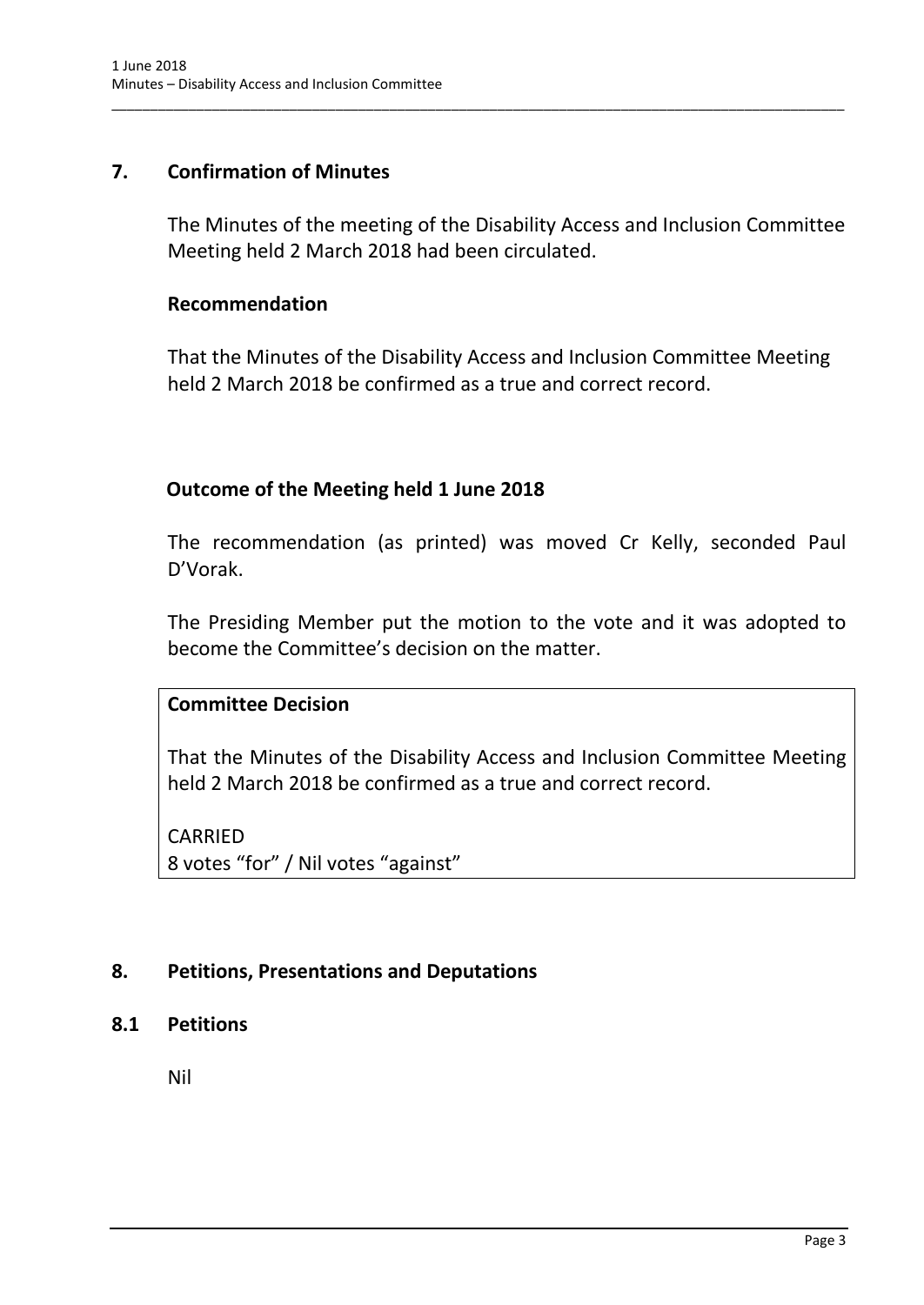## <span id="page-4-0"></span>**7. Confirmation of Minutes**

The Minutes of the meeting of the Disability Access and Inclusion Committee Meeting held 2 March 2018 had been circulated.

\_\_\_\_\_\_\_\_\_\_\_\_\_\_\_\_\_\_\_\_\_\_\_\_\_\_\_\_\_\_\_\_\_\_\_\_\_\_\_\_\_\_\_\_\_\_\_\_\_\_\_\_\_\_\_\_\_\_\_\_\_\_\_\_\_\_\_\_\_\_\_\_\_\_\_\_\_\_\_\_\_\_\_\_\_\_\_\_\_\_\_\_\_\_\_

#### **Recommendation**

That the Minutes of the Disability Access and Inclusion Committee Meeting held 2 March 2018 be confirmed as a true and correct record.

## **Outcome of the Meeting held 1 June 2018**

The recommendation (as printed) was moved Cr Kelly, seconded Paul D'Vorak.

The Presiding Member put the motion to the vote and it was adopted to become the Committee's decision on the matter.

## **Committee Decision**

That the Minutes of the Disability Access and Inclusion Committee Meeting held 2 March 2018 be confirmed as a true and correct record.

CARRIED 8 votes "for" / Nil votes "against"

## <span id="page-4-1"></span>**8. Petitions, Presentations and Deputations**

#### <span id="page-4-2"></span>**8.1 Petitions**

Nil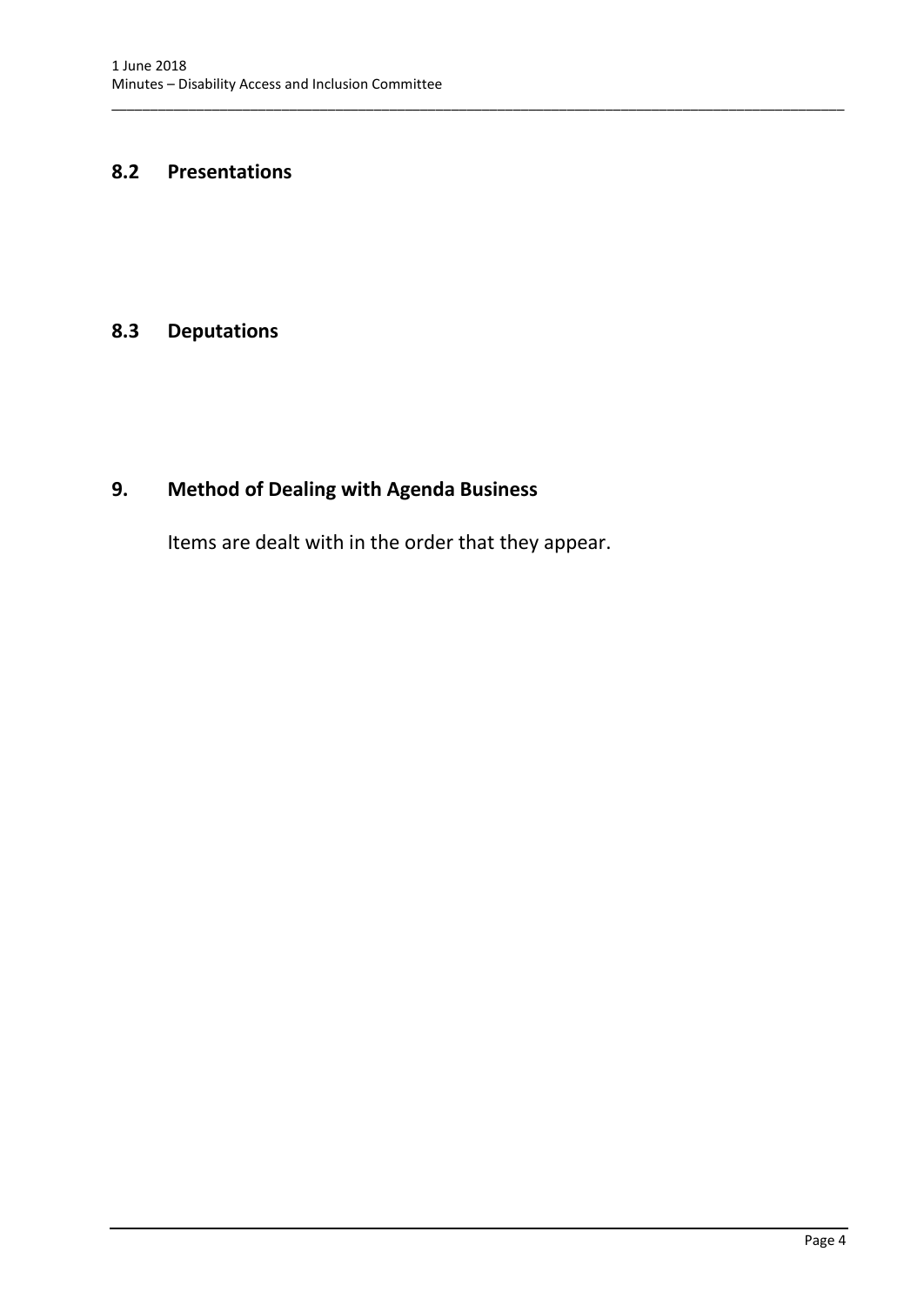## <span id="page-5-0"></span>**8.2 Presentations**

## <span id="page-5-1"></span>**8.3 Deputations**

# <span id="page-5-2"></span>**9. Method of Dealing with Agenda Business**

Items are dealt with in the order that they appear.

\_\_\_\_\_\_\_\_\_\_\_\_\_\_\_\_\_\_\_\_\_\_\_\_\_\_\_\_\_\_\_\_\_\_\_\_\_\_\_\_\_\_\_\_\_\_\_\_\_\_\_\_\_\_\_\_\_\_\_\_\_\_\_\_\_\_\_\_\_\_\_\_\_\_\_\_\_\_\_\_\_\_\_\_\_\_\_\_\_\_\_\_\_\_\_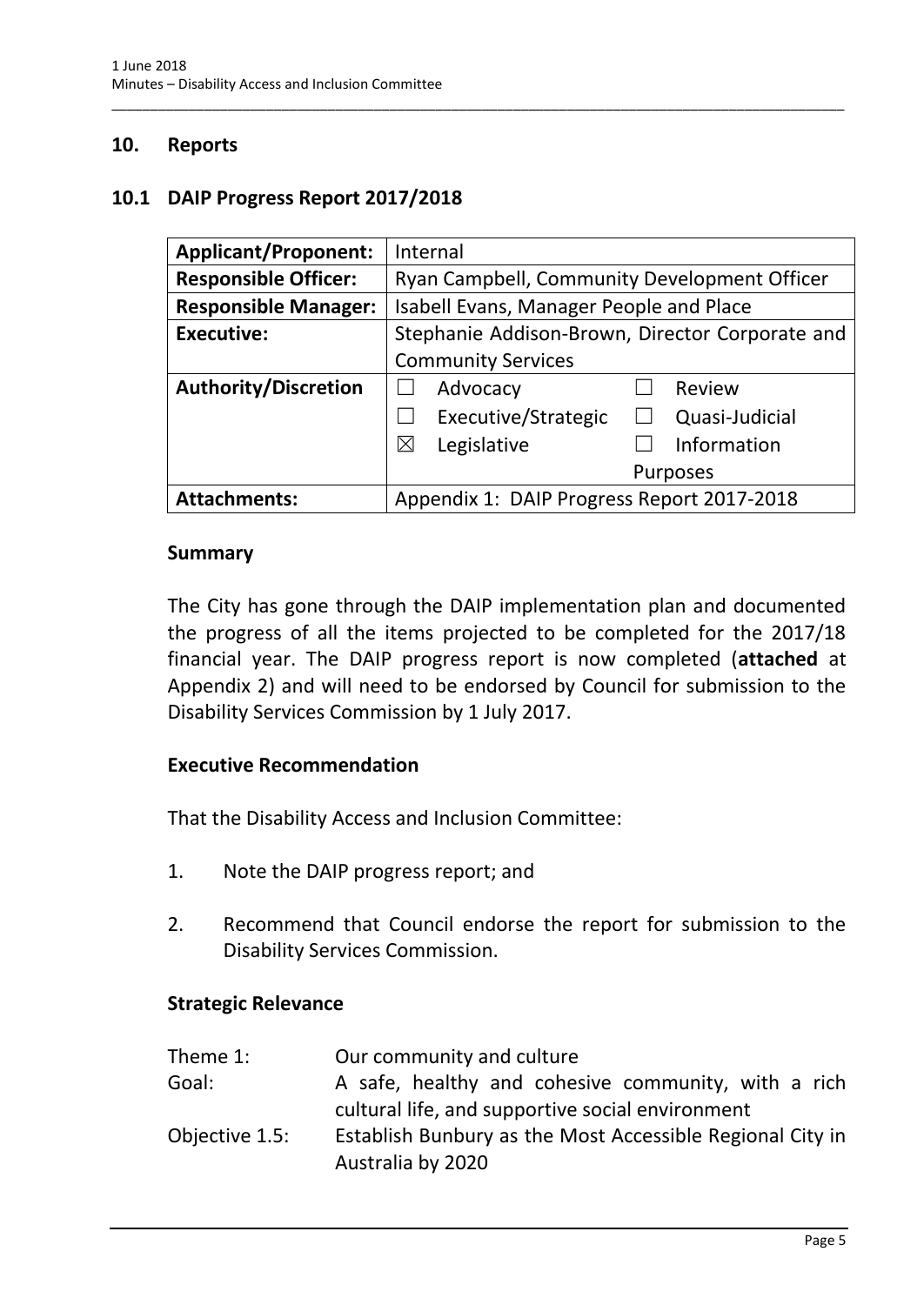## <span id="page-6-0"></span>**10. Reports**

#### <span id="page-6-1"></span>**10.1 DAIP Progress Report 2017/2018**

| <b>Applicant/Proponent:</b> | Internal                                        |
|-----------------------------|-------------------------------------------------|
| <b>Responsible Officer:</b> | Ryan Campbell, Community Development Officer    |
| <b>Responsible Manager:</b> | Isabell Evans, Manager People and Place         |
| <b>Executive:</b>           | Stephanie Addison-Brown, Director Corporate and |
|                             | <b>Community Services</b>                       |
| <b>Authority/Discretion</b> | Advocacy<br><b>Review</b>                       |
|                             | Executive/Strategic<br>Quasi-Judicial           |
|                             | Information<br>$\boxtimes$<br>Legislative       |
|                             | <b>Purposes</b>                                 |
| <b>Attachments:</b>         | Appendix 1: DAIP Progress Report 2017-2018      |

\_\_\_\_\_\_\_\_\_\_\_\_\_\_\_\_\_\_\_\_\_\_\_\_\_\_\_\_\_\_\_\_\_\_\_\_\_\_\_\_\_\_\_\_\_\_\_\_\_\_\_\_\_\_\_\_\_\_\_\_\_\_\_\_\_\_\_\_\_\_\_\_\_\_\_\_\_\_\_\_\_\_\_\_\_\_\_\_\_\_\_\_\_\_\_

#### **Summary**

The City has gone through the DAIP implementation plan and documented the progress of all the items projected to be completed for the 2017/18 financial year. The DAIP progress report is now completed (**attached** at Appendix 2) and will need to be endorsed by Council for submission to the Disability Services Commission by 1 July 2017.

#### **Executive Recommendation**

That the Disability Access and Inclusion Committee:

- 1. Note the DAIP progress report; and
- 2. Recommend that Council endorse the report for submission to the Disability Services Commission.

#### **Strategic Relevance**

| Theme 1:       | Our community and culture                                 |
|----------------|-----------------------------------------------------------|
| Goal:          | A safe, healthy and cohesive community, with a rich       |
|                | cultural life, and supportive social environment          |
| Objective 1.5: | Establish Bunbury as the Most Accessible Regional City in |
|                | Australia by 2020                                         |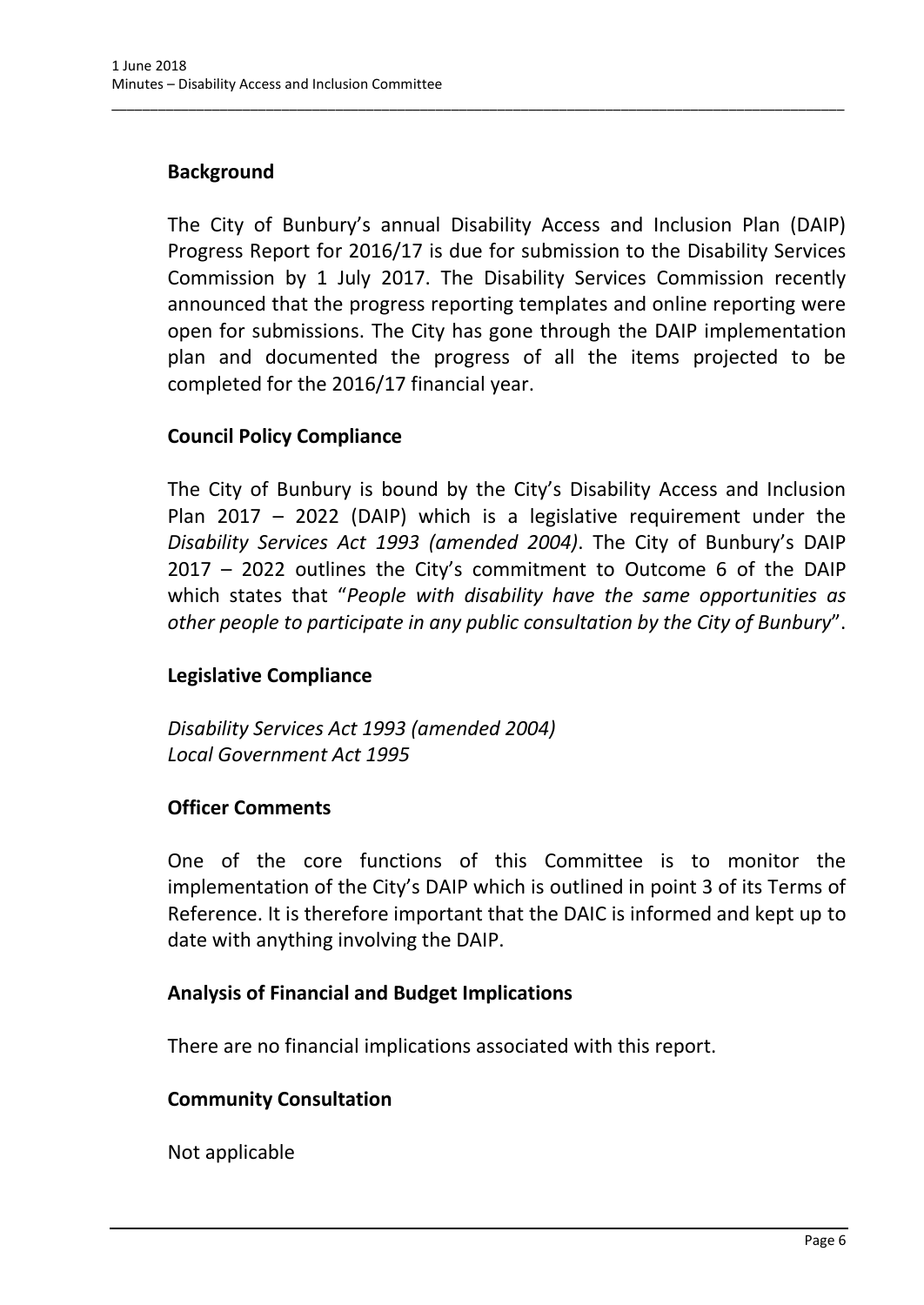# **Background**

The City of Bunbury's annual Disability Access and Inclusion Plan (DAIP) Progress Report for 2016/17 is due for submission to the Disability Services Commission by 1 July 2017. The Disability Services Commission recently announced that the progress reporting templates and online reporting were open for submissions. The City has gone through the DAIP implementation plan and documented the progress of all the items projected to be completed for the 2016/17 financial year.

\_\_\_\_\_\_\_\_\_\_\_\_\_\_\_\_\_\_\_\_\_\_\_\_\_\_\_\_\_\_\_\_\_\_\_\_\_\_\_\_\_\_\_\_\_\_\_\_\_\_\_\_\_\_\_\_\_\_\_\_\_\_\_\_\_\_\_\_\_\_\_\_\_\_\_\_\_\_\_\_\_\_\_\_\_\_\_\_\_\_\_\_\_\_\_

## **Council Policy Compliance**

The City of Bunbury is bound by the City's Disability Access and Inclusion Plan 2017 – 2022 (DAIP) which is a legislative requirement under the *Disability Services Act 1993 (amended 2004)*. The City of Bunbury's DAIP 2017 – 2022 outlines the City's commitment to Outcome 6 of the DAIP which states that "*People with disability have the same opportunities as other people to participate in any public consultation by the City of Bunbury*".

## **Legislative Compliance**

*Disability Services Act 1993 (amended 2004) Local Government Act 1995*

## **Officer Comments**

One of the core functions of this Committee is to monitor the implementation of the City's DAIP which is outlined in point 3 of its Terms of Reference. It is therefore important that the DAIC is informed and kept up to date with anything involving the DAIP.

## **Analysis of Financial and Budget Implications**

There are no financial implications associated with this report.

#### **Community Consultation**

Not applicable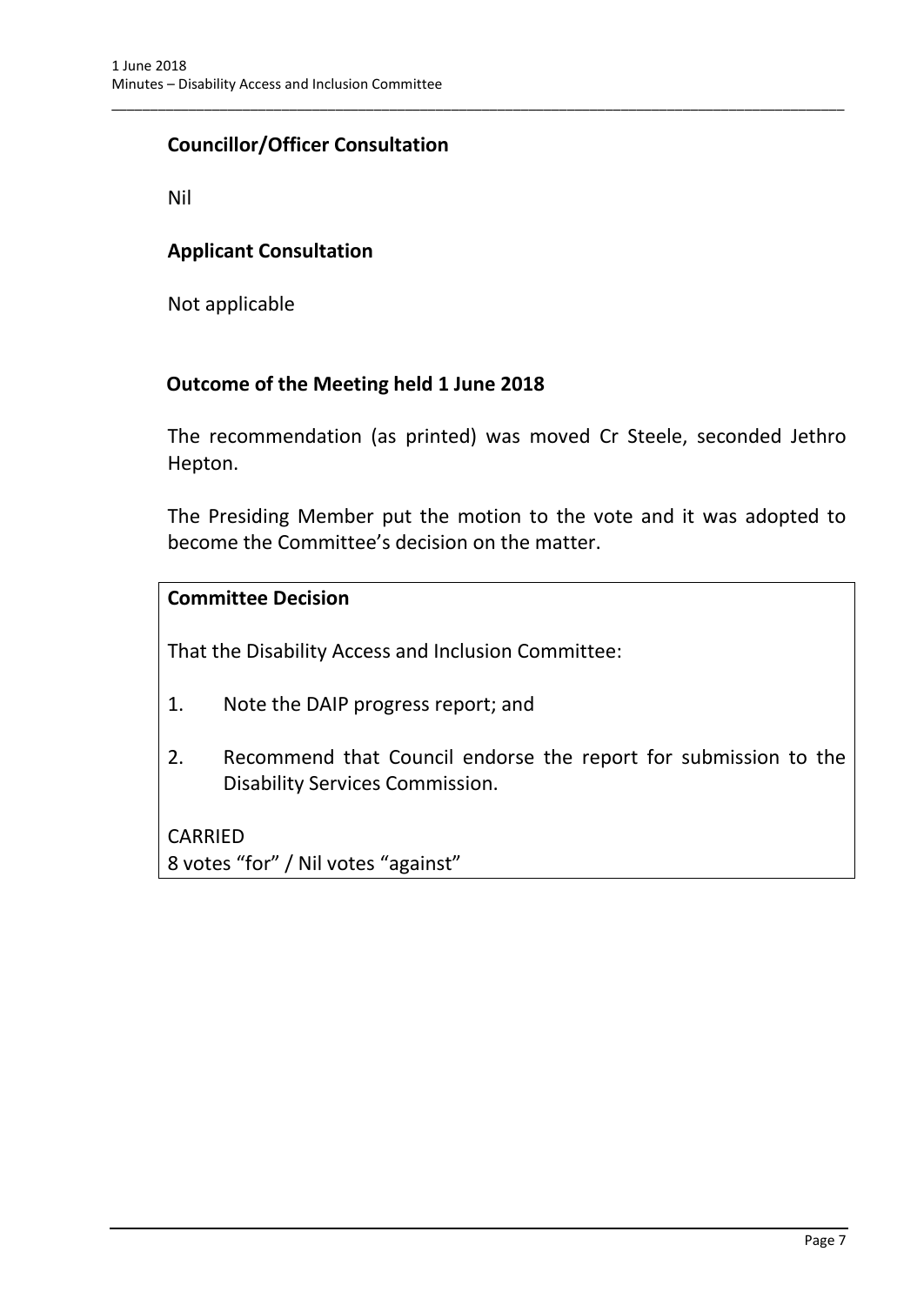# **Councillor/Officer Consultation**

Nil

## **Applicant Consultation**

Not applicable

## **Outcome of the Meeting held 1 June 2018**

The recommendation (as printed) was moved Cr Steele, seconded Jethro Hepton.

\_\_\_\_\_\_\_\_\_\_\_\_\_\_\_\_\_\_\_\_\_\_\_\_\_\_\_\_\_\_\_\_\_\_\_\_\_\_\_\_\_\_\_\_\_\_\_\_\_\_\_\_\_\_\_\_\_\_\_\_\_\_\_\_\_\_\_\_\_\_\_\_\_\_\_\_\_\_\_\_\_\_\_\_\_\_\_\_\_\_\_\_\_\_\_

The Presiding Member put the motion to the vote and it was adopted to become the Committee's decision on the matter.

#### **Committee Decision**

That the Disability Access and Inclusion Committee:

- 1. Note the DAIP progress report; and
- 2. Recommend that Council endorse the report for submission to the Disability Services Commission.

CARRIED 8 votes "for" / Nil votes "against"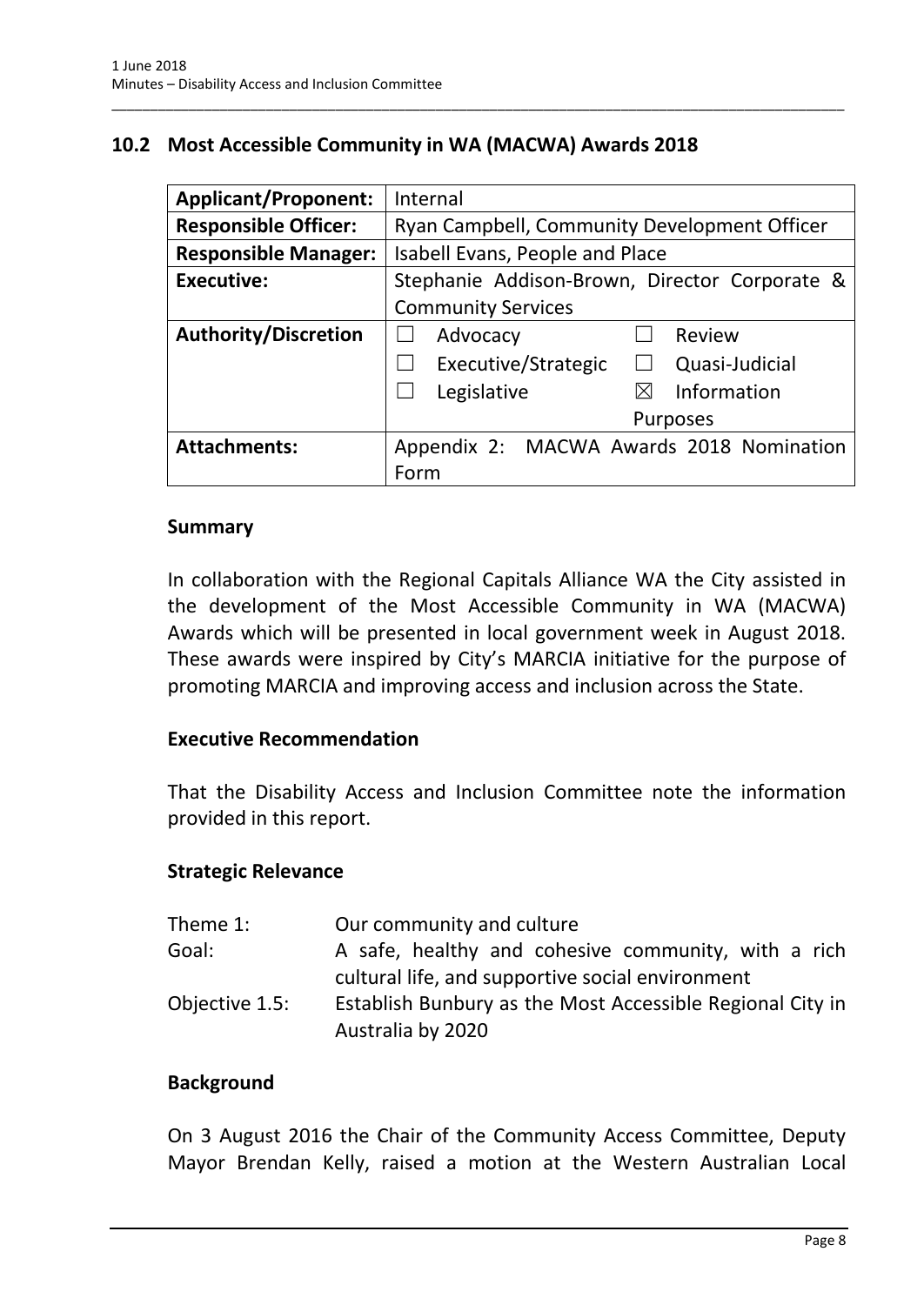## <span id="page-9-0"></span>**10.2 Most Accessible Community in WA (MACWA) Awards 2018**

\_\_\_\_\_\_\_\_\_\_\_\_\_\_\_\_\_\_\_\_\_\_\_\_\_\_\_\_\_\_\_\_\_\_\_\_\_\_\_\_\_\_\_\_\_\_\_\_\_\_\_\_\_\_\_\_\_\_\_\_\_\_\_\_\_\_\_\_\_\_\_\_\_\_\_\_\_\_\_\_\_\_\_\_\_\_\_\_\_\_\_\_\_\_\_

| <b>Applicant/Proponent:</b> | Internal                                      |
|-----------------------------|-----------------------------------------------|
| <b>Responsible Officer:</b> | Ryan Campbell, Community Development Officer  |
| <b>Responsible Manager:</b> | Isabell Evans, People and Place               |
| <b>Executive:</b>           | Stephanie Addison-Brown, Director Corporate & |
|                             | <b>Community Services</b>                     |
| <b>Authority/Discretion</b> | Advocacy<br>Review                            |
|                             | Executive/Strategic<br>Quasi-Judicial         |
|                             | Information<br>Legislative                    |
|                             | <b>Purposes</b>                               |
| <b>Attachments:</b>         | Appendix 2: MACWA Awards 2018 Nomination      |
|                             | Form                                          |

#### **Summary**

In collaboration with the Regional Capitals Alliance WA the City assisted in the development of the Most Accessible Community in WA (MACWA) Awards which will be presented in local government week in August 2018. These awards were inspired by City's MARCIA initiative for the purpose of promoting MARCIA and improving access and inclusion across the State.

#### **Executive Recommendation**

That the Disability Access and Inclusion Committee note the information provided in this report.

#### **Strategic Relevance**

| Theme 1:       | Our community and culture                                                                               |
|----------------|---------------------------------------------------------------------------------------------------------|
| Goal:          | A safe, healthy and cohesive community, with a rich<br>cultural life, and supportive social environment |
| Objective 1.5: | Establish Bunbury as the Most Accessible Regional City in<br>Australia by 2020                          |

#### **Background**

On 3 August 2016 the Chair of the Community Access Committee, Deputy Mayor Brendan Kelly, raised a motion at the Western Australian Local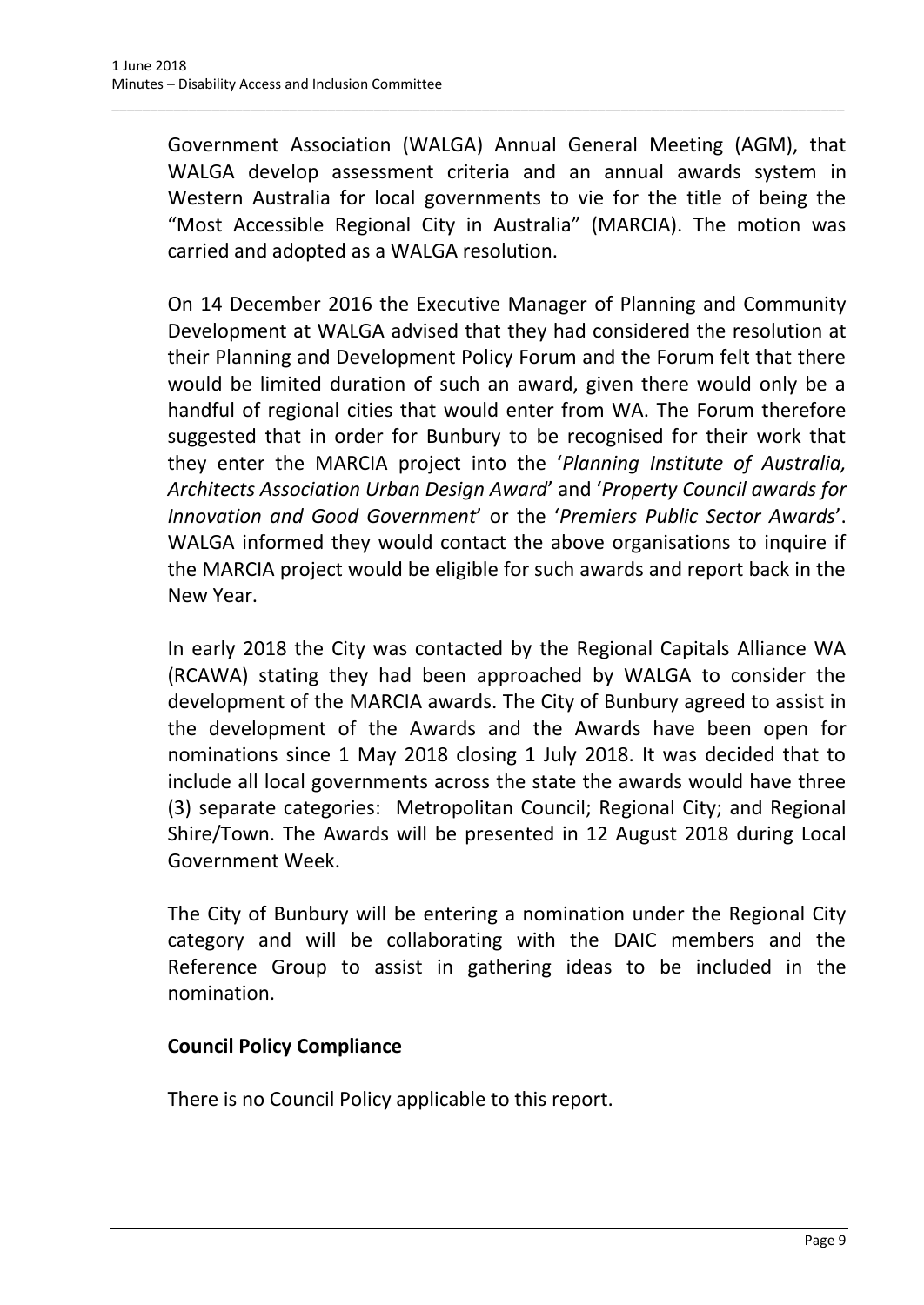Government Association (WALGA) Annual General Meeting (AGM), that WALGA develop assessment criteria and an annual awards system in Western Australia for local governments to vie for the title of being the "Most Accessible Regional City in Australia" (MARCIA). The motion was carried and adopted as a WALGA resolution.

\_\_\_\_\_\_\_\_\_\_\_\_\_\_\_\_\_\_\_\_\_\_\_\_\_\_\_\_\_\_\_\_\_\_\_\_\_\_\_\_\_\_\_\_\_\_\_\_\_\_\_\_\_\_\_\_\_\_\_\_\_\_\_\_\_\_\_\_\_\_\_\_\_\_\_\_\_\_\_\_\_\_\_\_\_\_\_\_\_\_\_\_\_\_\_

On 14 December 2016 the Executive Manager of Planning and Community Development at WALGA advised that they had considered the resolution at their Planning and Development Policy Forum and the Forum felt that there would be limited duration of such an award, given there would only be a handful of regional cities that would enter from WA. The Forum therefore suggested that in order for Bunbury to be recognised for their work that they enter the MARCIA project into the '*Planning Institute of Australia, Architects Association Urban Design Award*' and '*Property Council awards for Innovation and Good Government*' or the '*Premiers Public Sector Awards*'. WALGA informed they would contact the above organisations to inquire if the MARCIA project would be eligible for such awards and report back in the New Year.

In early 2018 the City was contacted by the Regional Capitals Alliance WA (RCAWA) stating they had been approached by WALGA to consider the development of the MARCIA awards. The City of Bunbury agreed to assist in the development of the Awards and the Awards have been open for nominations since 1 May 2018 closing 1 July 2018. It was decided that to include all local governments across the state the awards would have three (3) separate categories: Metropolitan Council; Regional City; and Regional Shire/Town. The Awards will be presented in 12 August 2018 during Local Government Week.

The City of Bunbury will be entering a nomination under the Regional City category and will be collaborating with the DAIC members and the Reference Group to assist in gathering ideas to be included in the nomination.

## **Council Policy Compliance**

There is no Council Policy applicable to this report.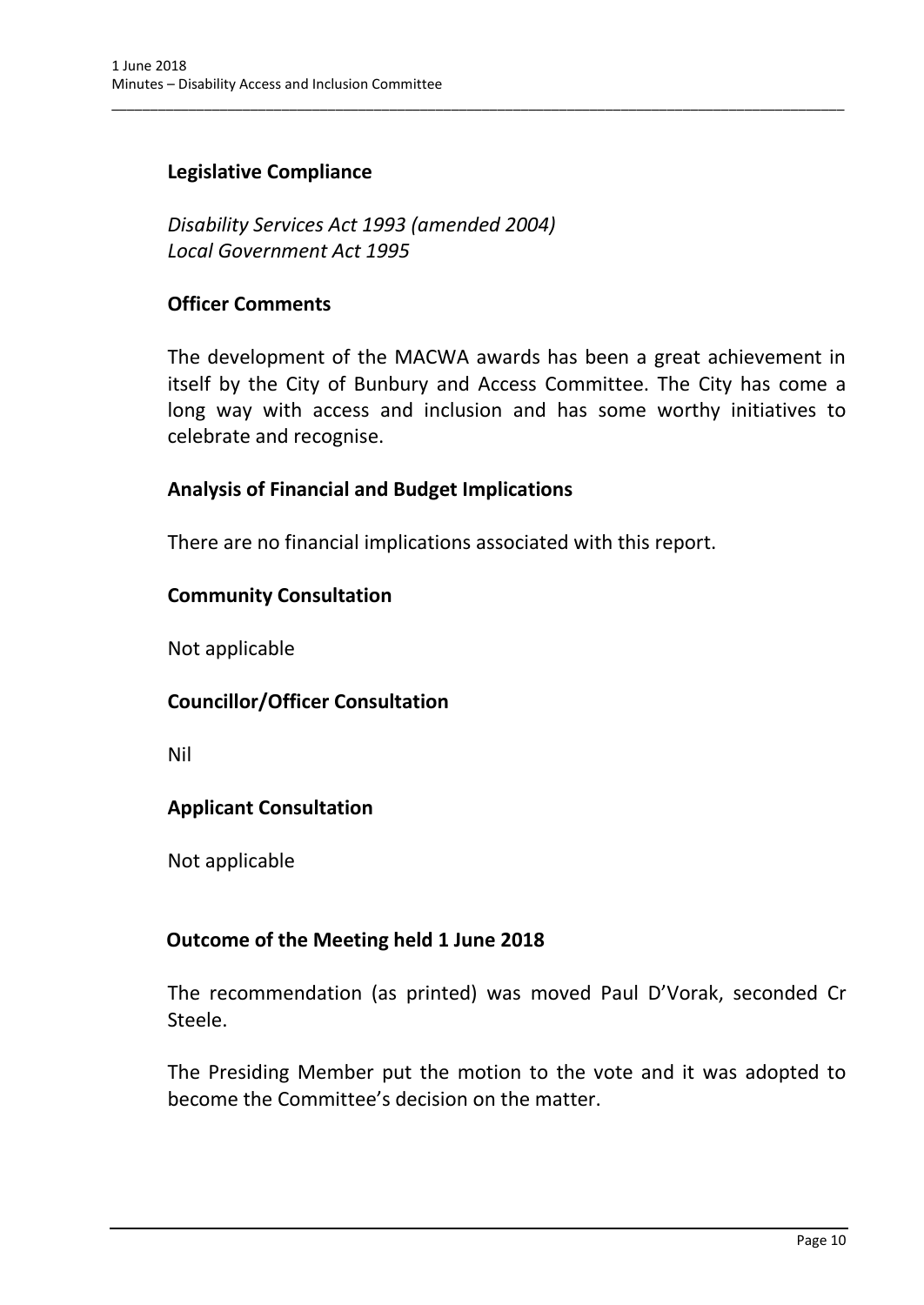## **Legislative Compliance**

*Disability Services Act 1993 (amended 2004) Local Government Act 1995*

#### **Officer Comments**

The development of the MACWA awards has been a great achievement in itself by the City of Bunbury and Access Committee. The City has come a long way with access and inclusion and has some worthy initiatives to celebrate and recognise.

\_\_\_\_\_\_\_\_\_\_\_\_\_\_\_\_\_\_\_\_\_\_\_\_\_\_\_\_\_\_\_\_\_\_\_\_\_\_\_\_\_\_\_\_\_\_\_\_\_\_\_\_\_\_\_\_\_\_\_\_\_\_\_\_\_\_\_\_\_\_\_\_\_\_\_\_\_\_\_\_\_\_\_\_\_\_\_\_\_\_\_\_\_\_\_

## **Analysis of Financial and Budget Implications**

There are no financial implications associated with this report.

## **Community Consultation**

Not applicable

## **Councillor/Officer Consultation**

Nil

## **Applicant Consultation**

Not applicable

## **Outcome of the Meeting held 1 June 2018**

The recommendation (as printed) was moved Paul D'Vorak, seconded Cr Steele.

The Presiding Member put the motion to the vote and it was adopted to become the Committee's decision on the matter.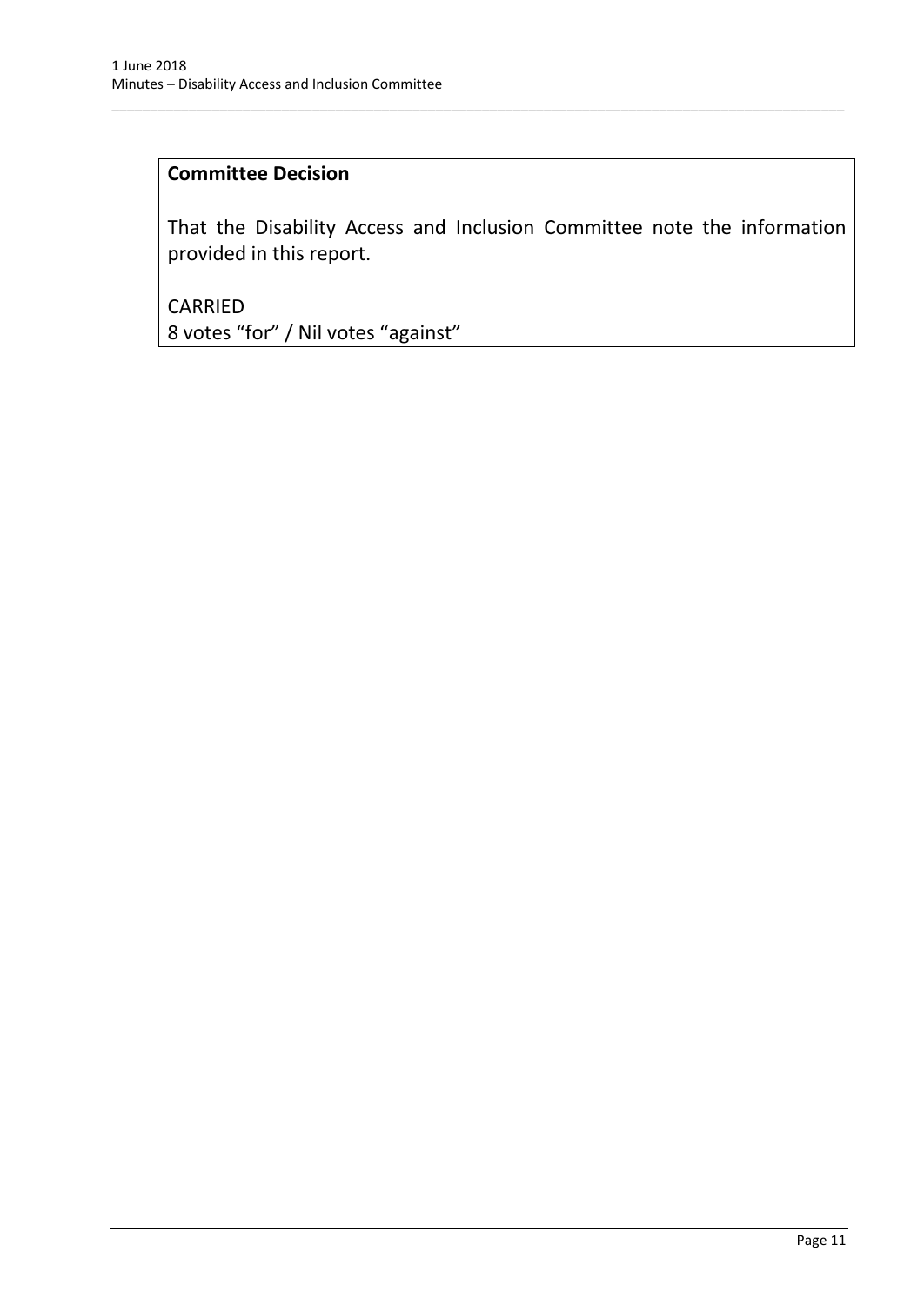## **Committee Decision**

That the Disability Access and Inclusion Committee note the information provided in this report.

\_\_\_\_\_\_\_\_\_\_\_\_\_\_\_\_\_\_\_\_\_\_\_\_\_\_\_\_\_\_\_\_\_\_\_\_\_\_\_\_\_\_\_\_\_\_\_\_\_\_\_\_\_\_\_\_\_\_\_\_\_\_\_\_\_\_\_\_\_\_\_\_\_\_\_\_\_\_\_\_\_\_\_\_\_\_\_\_\_\_\_\_\_\_\_

CARRIED 8 votes "for" / Nil votes "against"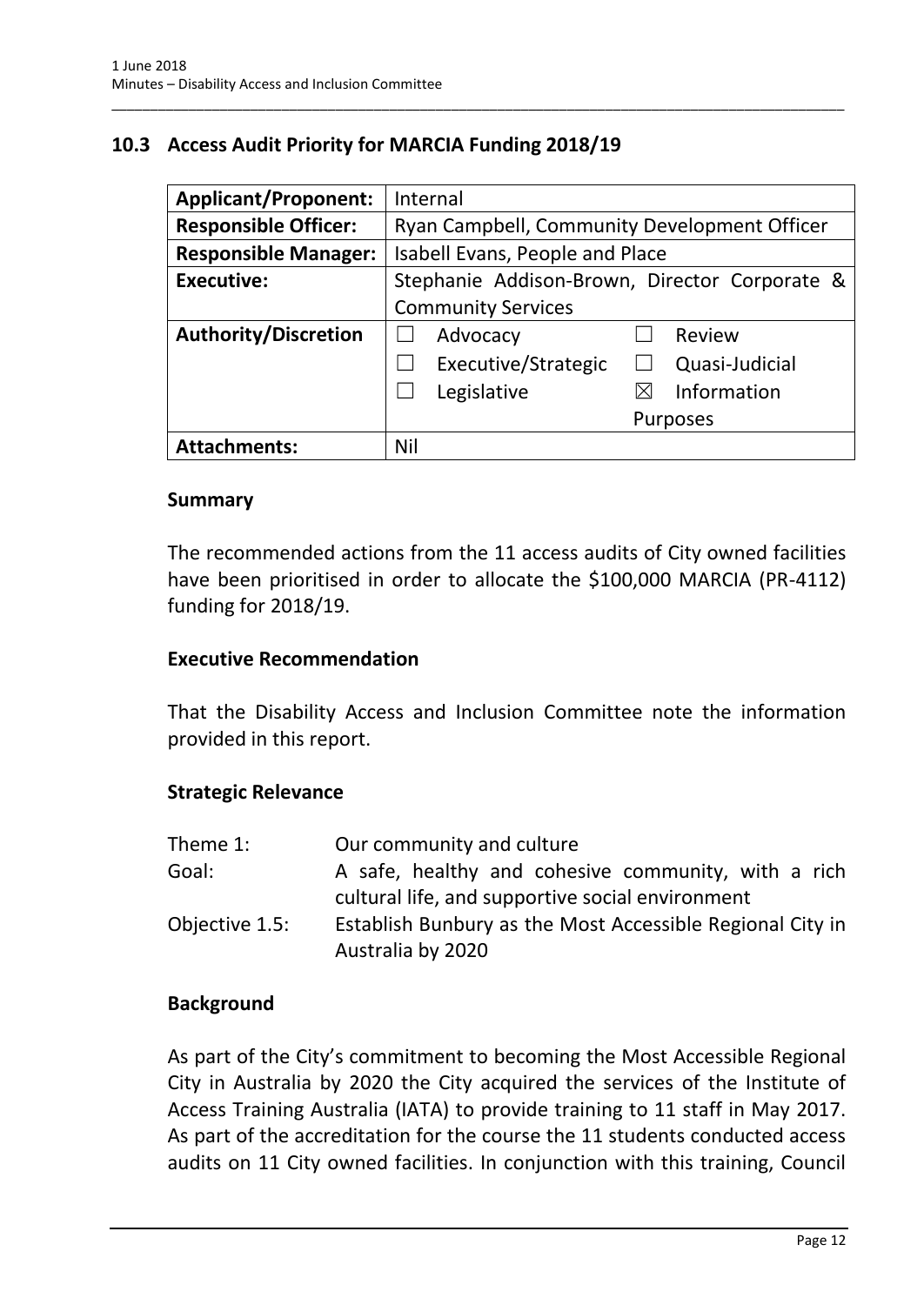# <span id="page-13-0"></span>**10.3 Access Audit Priority for MARCIA Funding 2018/19**

| <b>Applicant/Proponent:</b> | Internal                                      |
|-----------------------------|-----------------------------------------------|
| <b>Responsible Officer:</b> | Ryan Campbell, Community Development Officer  |
| <b>Responsible Manager:</b> | Isabell Evans, People and Place               |
| <b>Executive:</b>           | Stephanie Addison-Brown, Director Corporate & |
|                             | <b>Community Services</b>                     |
| <b>Authority/Discretion</b> | Advocacy<br>Review                            |
|                             | Executive/Strategic<br>Quasi-Judicial         |
|                             | Information<br>Legislative<br>⋉               |
|                             | <b>Purposes</b>                               |
| <b>Attachments:</b>         | Nil                                           |

\_\_\_\_\_\_\_\_\_\_\_\_\_\_\_\_\_\_\_\_\_\_\_\_\_\_\_\_\_\_\_\_\_\_\_\_\_\_\_\_\_\_\_\_\_\_\_\_\_\_\_\_\_\_\_\_\_\_\_\_\_\_\_\_\_\_\_\_\_\_\_\_\_\_\_\_\_\_\_\_\_\_\_\_\_\_\_\_\_\_\_\_\_\_\_

#### **Summary**

The recommended actions from the 11 access audits of City owned facilities have been prioritised in order to allocate the \$100,000 MARCIA (PR-4112) funding for 2018/19.

#### **Executive Recommendation**

That the Disability Access and Inclusion Committee note the information provided in this report.

#### **Strategic Relevance**

| Theme 1:       | Our community and culture                                                                               |
|----------------|---------------------------------------------------------------------------------------------------------|
| Goal:          | A safe, healthy and cohesive community, with a rich<br>cultural life, and supportive social environment |
| Objective 1.5: | Establish Bunbury as the Most Accessible Regional City in<br>Australia by 2020                          |

#### **Background**

As part of the City's commitment to becoming the Most Accessible Regional City in Australia by 2020 the City acquired the services of the Institute of Access Training Australia (IATA) to provide training to 11 staff in May 2017. As part of the accreditation for the course the 11 students conducted access audits on 11 City owned facilities. In conjunction with this training, Council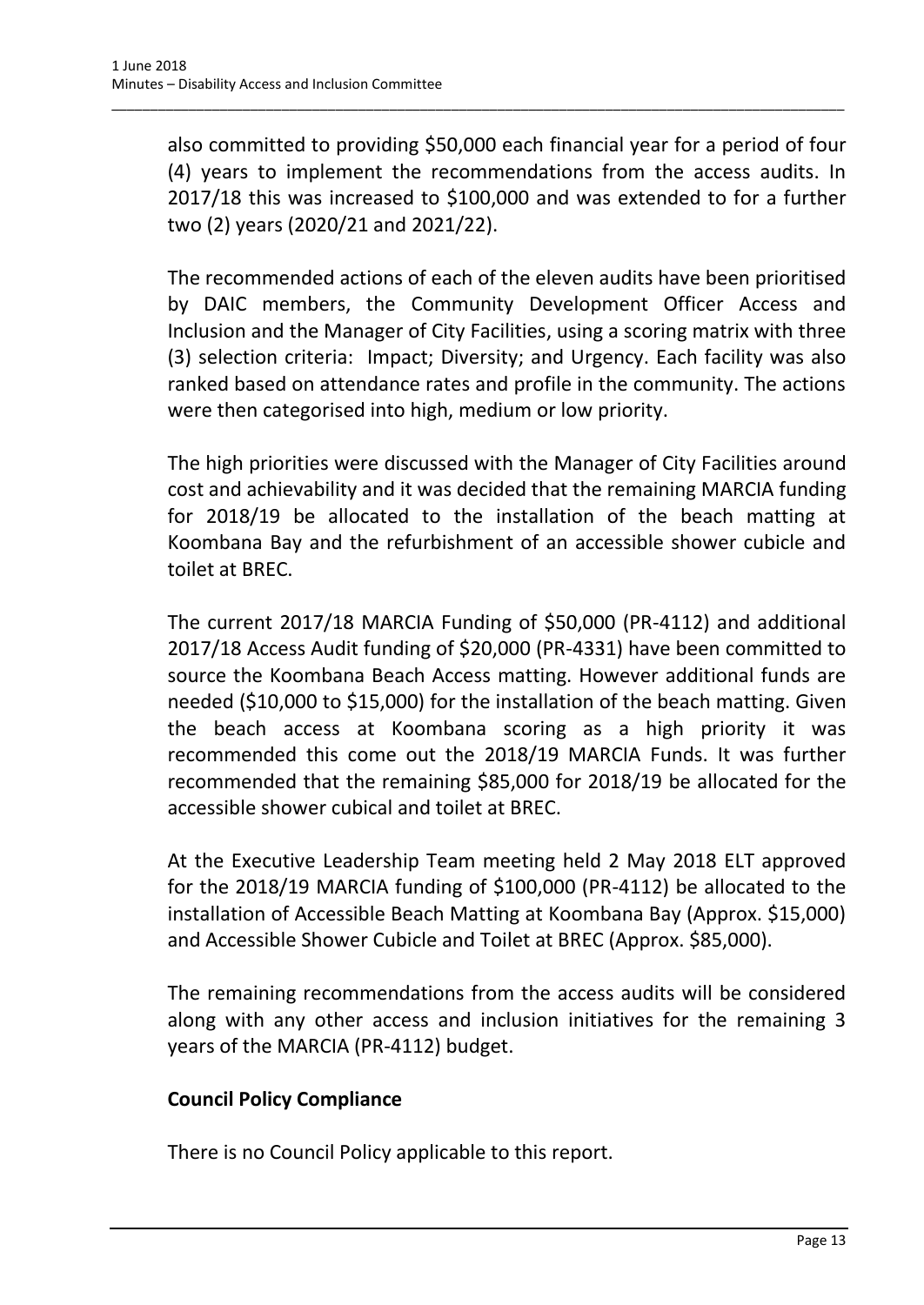also committed to providing \$50,000 each financial year for a period of four (4) years to implement the recommendations from the access audits. In 2017/18 this was increased to \$100,000 and was extended to for a further two (2) years (2020/21 and 2021/22).

\_\_\_\_\_\_\_\_\_\_\_\_\_\_\_\_\_\_\_\_\_\_\_\_\_\_\_\_\_\_\_\_\_\_\_\_\_\_\_\_\_\_\_\_\_\_\_\_\_\_\_\_\_\_\_\_\_\_\_\_\_\_\_\_\_\_\_\_\_\_\_\_\_\_\_\_\_\_\_\_\_\_\_\_\_\_\_\_\_\_\_\_\_\_\_

The recommended actions of each of the eleven audits have been prioritised by DAIC members, the Community Development Officer Access and Inclusion and the Manager of City Facilities, using a scoring matrix with three (3) selection criteria: Impact; Diversity; and Urgency. Each facility was also ranked based on attendance rates and profile in the community. The actions were then categorised into high, medium or low priority.

The high priorities were discussed with the Manager of City Facilities around cost and achievability and it was decided that the remaining MARCIA funding for 2018/19 be allocated to the installation of the beach matting at Koombana Bay and the refurbishment of an accessible shower cubicle and toilet at BREC.

The current 2017/18 MARCIA Funding of \$50,000 (PR-4112) and additional 2017/18 Access Audit funding of \$20,000 (PR-4331) have been committed to source the Koombana Beach Access matting. However additional funds are needed (\$10,000 to \$15,000) for the installation of the beach matting. Given the beach access at Koombana scoring as a high priority it was recommended this come out the 2018/19 MARCIA Funds. It was further recommended that the remaining \$85,000 for 2018/19 be allocated for the accessible shower cubical and toilet at BREC.

At the Executive Leadership Team meeting held 2 May 2018 ELT approved for the 2018/19 MARCIA funding of \$100,000 (PR-4112) be allocated to the installation of Accessible Beach Matting at Koombana Bay (Approx. \$15,000) and Accessible Shower Cubicle and Toilet at BREC (Approx. \$85,000).

The remaining recommendations from the access audits will be considered along with any other access and inclusion initiatives for the remaining 3 years of the MARCIA (PR-4112) budget.

## **Council Policy Compliance**

There is no Council Policy applicable to this report.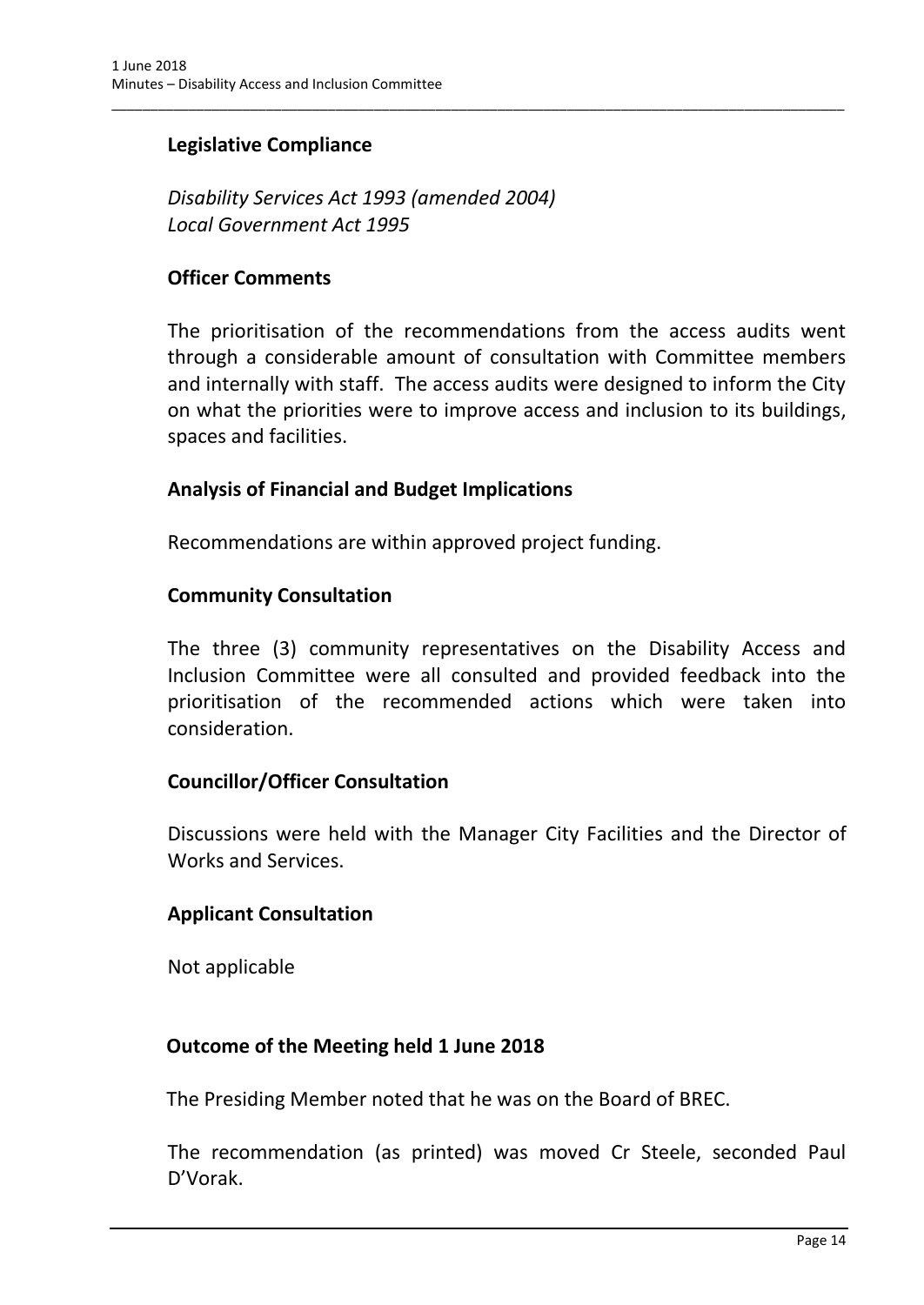## **Legislative Compliance**

*Disability Services Act 1993 (amended 2004) Local Government Act 1995*

## **Officer Comments**

The prioritisation of the recommendations from the access audits went through a considerable amount of consultation with Committee members and internally with staff. The access audits were designed to inform the City on what the priorities were to improve access and inclusion to its buildings, spaces and facilities.

\_\_\_\_\_\_\_\_\_\_\_\_\_\_\_\_\_\_\_\_\_\_\_\_\_\_\_\_\_\_\_\_\_\_\_\_\_\_\_\_\_\_\_\_\_\_\_\_\_\_\_\_\_\_\_\_\_\_\_\_\_\_\_\_\_\_\_\_\_\_\_\_\_\_\_\_\_\_\_\_\_\_\_\_\_\_\_\_\_\_\_\_\_\_\_

## **Analysis of Financial and Budget Implications**

Recommendations are within approved project funding.

## **Community Consultation**

The three (3) community representatives on the Disability Access and Inclusion Committee were all consulted and provided feedback into the prioritisation of the recommended actions which were taken into consideration.

#### **Councillor/Officer Consultation**

Discussions were held with the Manager City Facilities and the Director of Works and Services.

## **Applicant Consultation**

Not applicable

#### **Outcome of the Meeting held 1 June 2018**

The Presiding Member noted that he was on the Board of BREC.

The recommendation (as printed) was moved Cr Steele, seconded Paul D'Vorak.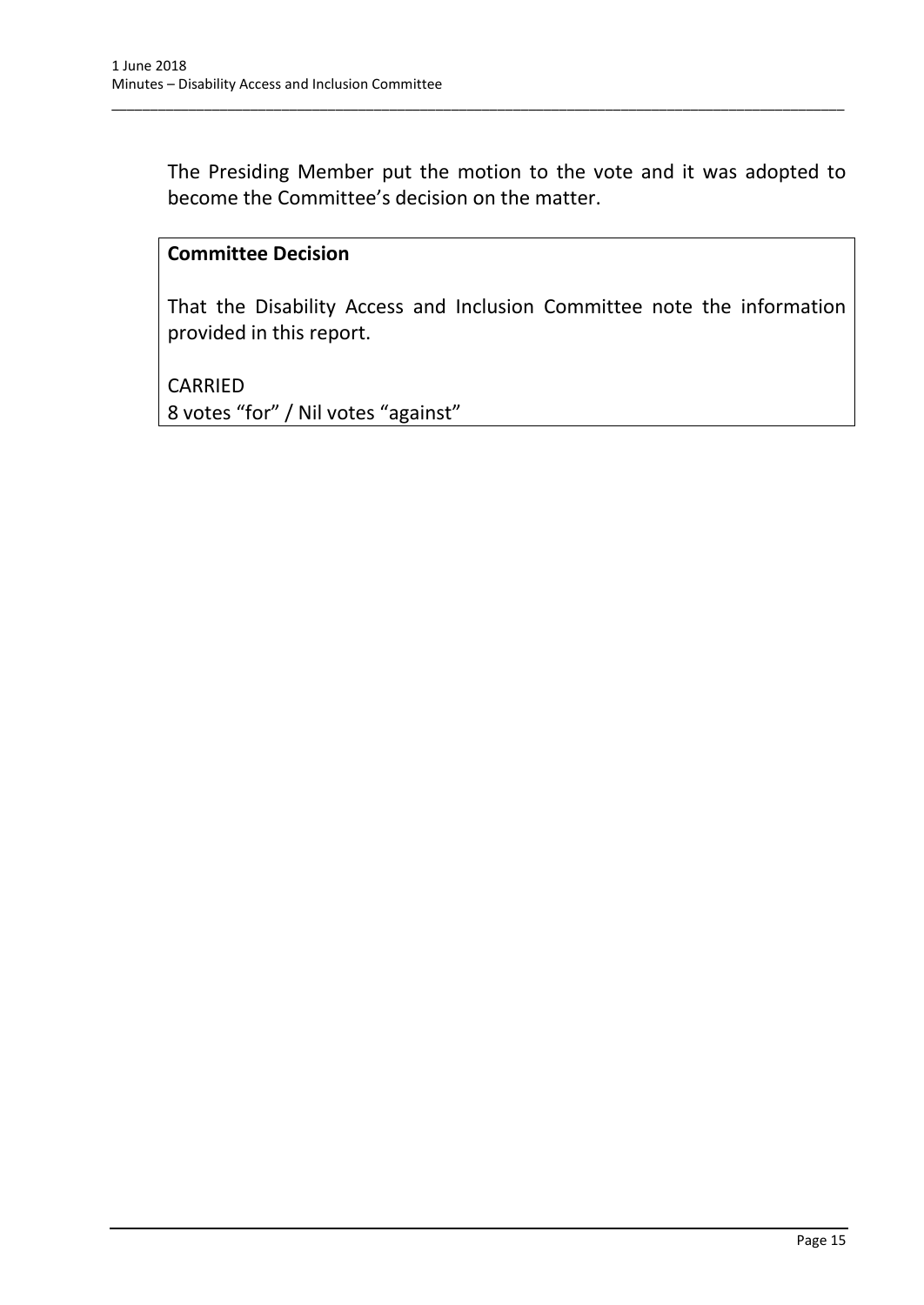The Presiding Member put the motion to the vote and it was adopted to become the Committee's decision on the matter.

\_\_\_\_\_\_\_\_\_\_\_\_\_\_\_\_\_\_\_\_\_\_\_\_\_\_\_\_\_\_\_\_\_\_\_\_\_\_\_\_\_\_\_\_\_\_\_\_\_\_\_\_\_\_\_\_\_\_\_\_\_\_\_\_\_\_\_\_\_\_\_\_\_\_\_\_\_\_\_\_\_\_\_\_\_\_\_\_\_\_\_\_\_\_\_

## **Committee Decision**

That the Disability Access and Inclusion Committee note the information provided in this report.

CARRIED 8 votes "for" / Nil votes "against"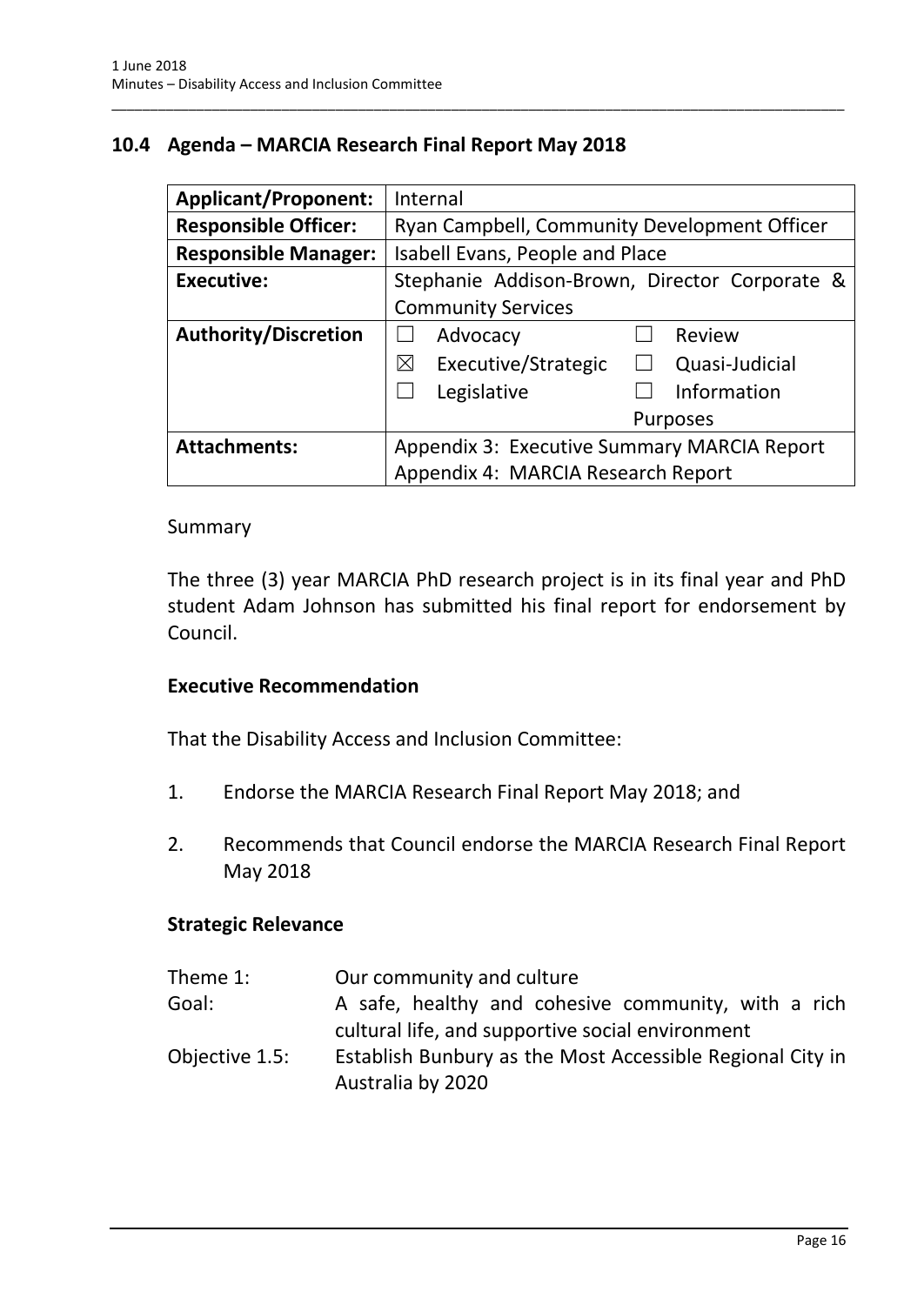# <span id="page-17-0"></span>**10.4 Agenda – MARCIA Research Final Report May 2018**

| <b>Applicant/Proponent:</b> | Internal                                             |
|-----------------------------|------------------------------------------------------|
| <b>Responsible Officer:</b> | Ryan Campbell, Community Development Officer         |
| <b>Responsible Manager:</b> | Isabell Evans, People and Place                      |
| <b>Executive:</b>           | Stephanie Addison-Brown, Director Corporate &        |
|                             | <b>Community Services</b>                            |
| <b>Authority/Discretion</b> | Advocacy<br>Review                                   |
|                             | Executive/Strategic<br>$\boxtimes$<br>Quasi-Judicial |
|                             | Information<br>Legislative                           |
|                             | <b>Purposes</b>                                      |
| <b>Attachments:</b>         | Appendix 3: Executive Summary MARCIA Report          |
|                             | Appendix 4: MARCIA Research Report                   |

\_\_\_\_\_\_\_\_\_\_\_\_\_\_\_\_\_\_\_\_\_\_\_\_\_\_\_\_\_\_\_\_\_\_\_\_\_\_\_\_\_\_\_\_\_\_\_\_\_\_\_\_\_\_\_\_\_\_\_\_\_\_\_\_\_\_\_\_\_\_\_\_\_\_\_\_\_\_\_\_\_\_\_\_\_\_\_\_\_\_\_\_\_\_\_

#### Summary

The three (3) year MARCIA PhD research project is in its final year and PhD student Adam Johnson has submitted his final report for endorsement by Council.

#### **Executive Recommendation**

That the Disability Access and Inclusion Committee:

- 1. Endorse the MARCIA Research Final Report May 2018; and
- 2. Recommends that Council endorse the MARCIA Research Final Report May 2018

#### **Strategic Relevance**

| Theme 1:       | Our community and culture                                 |
|----------------|-----------------------------------------------------------|
| Goal:          | A safe, healthy and cohesive community, with a rich       |
|                | cultural life, and supportive social environment          |
| Objective 1.5: | Establish Bunbury as the Most Accessible Regional City in |
|                | Australia by 2020                                         |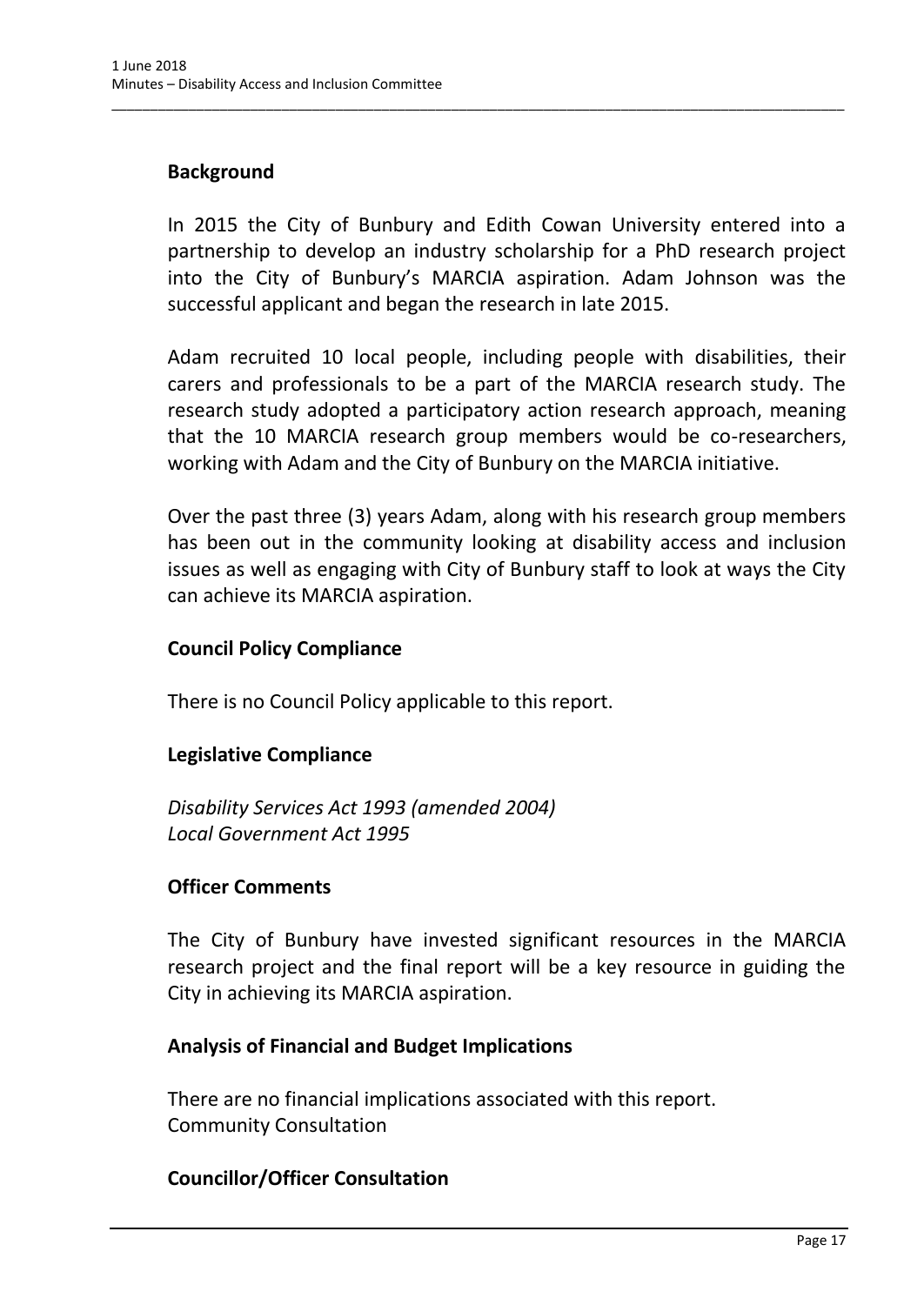## **Background**

In 2015 the City of Bunbury and Edith Cowan University entered into a partnership to develop an industry scholarship for a PhD research project into the City of Bunbury's MARCIA aspiration. Adam Johnson was the successful applicant and began the research in late 2015.

\_\_\_\_\_\_\_\_\_\_\_\_\_\_\_\_\_\_\_\_\_\_\_\_\_\_\_\_\_\_\_\_\_\_\_\_\_\_\_\_\_\_\_\_\_\_\_\_\_\_\_\_\_\_\_\_\_\_\_\_\_\_\_\_\_\_\_\_\_\_\_\_\_\_\_\_\_\_\_\_\_\_\_\_\_\_\_\_\_\_\_\_\_\_\_

Adam recruited 10 local people, including people with disabilities, their carers and professionals to be a part of the MARCIA research study. The research study adopted a participatory action research approach, meaning that the 10 MARCIA research group members would be co-researchers, working with Adam and the City of Bunbury on the MARCIA initiative.

Over the past three (3) years Adam, along with his research group members has been out in the community looking at disability access and inclusion issues as well as engaging with City of Bunbury staff to look at ways the City can achieve its MARCIA aspiration.

## **Council Policy Compliance**

There is no Council Policy applicable to this report.

## **Legislative Compliance**

*Disability Services Act 1993 (amended 2004) Local Government Act 1995*

#### **Officer Comments**

The City of Bunbury have invested significant resources in the MARCIA research project and the final report will be a key resource in guiding the City in achieving its MARCIA aspiration.

#### **Analysis of Financial and Budget Implications**

There are no financial implications associated with this report. Community Consultation

#### **Councillor/Officer Consultation**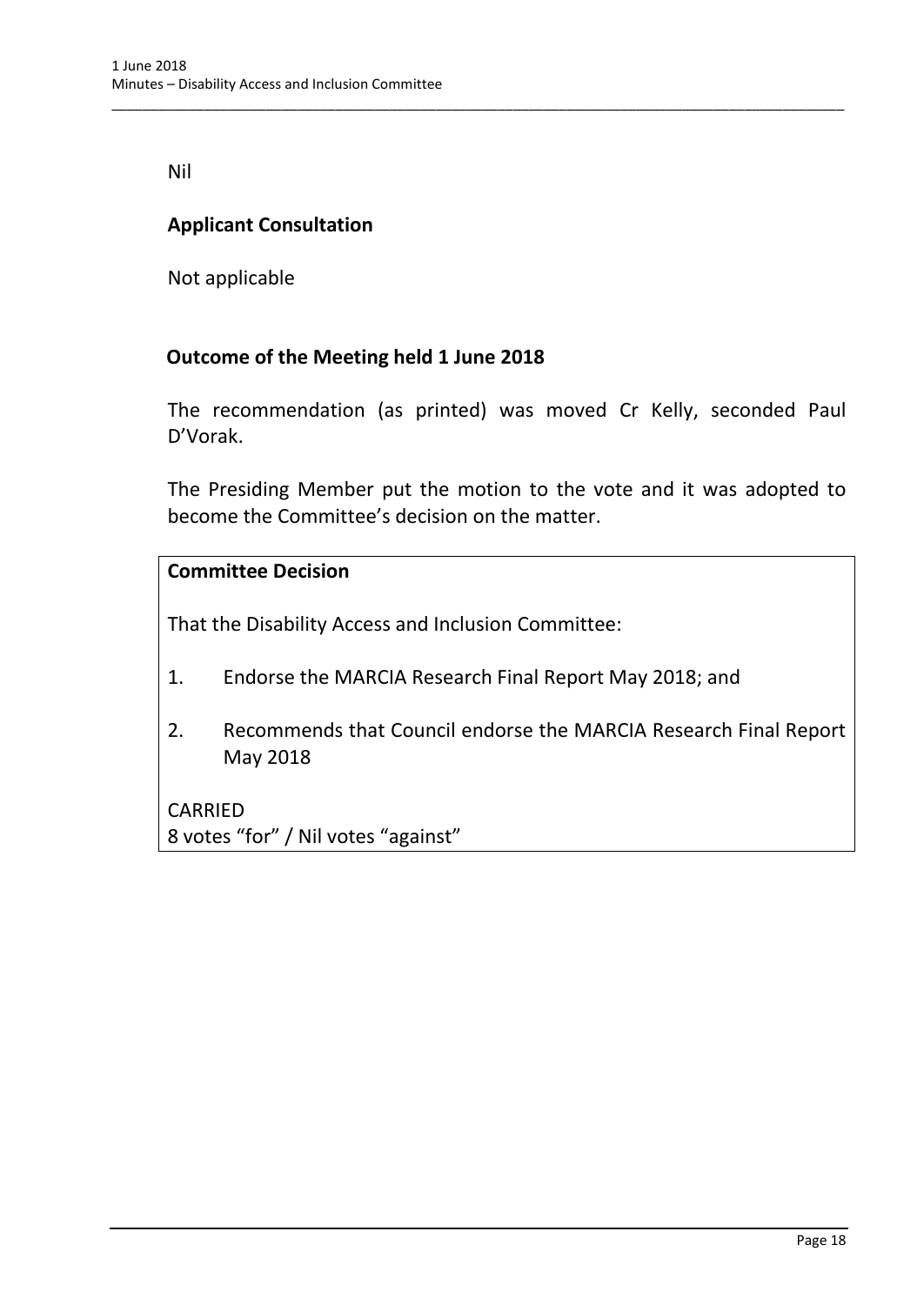Nil

# **Applicant Consultation**

Not applicable

## **Outcome of the Meeting held 1 June 2018**

The recommendation (as printed) was moved Cr Kelly, seconded Paul D'Vorak.

\_\_\_\_\_\_\_\_\_\_\_\_\_\_\_\_\_\_\_\_\_\_\_\_\_\_\_\_\_\_\_\_\_\_\_\_\_\_\_\_\_\_\_\_\_\_\_\_\_\_\_\_\_\_\_\_\_\_\_\_\_\_\_\_\_\_\_\_\_\_\_\_\_\_\_\_\_\_\_\_\_\_\_\_\_\_\_\_\_\_\_\_\_\_\_

The Presiding Member put the motion to the vote and it was adopted to become the Committee's decision on the matter.

## **Committee Decision**

That the Disability Access and Inclusion Committee:

- 1. Endorse the MARCIA Research Final Report May 2018; and
- 2. Recommends that Council endorse the MARCIA Research Final Report May 2018

CARRIED 8 votes "for" / Nil votes "against"